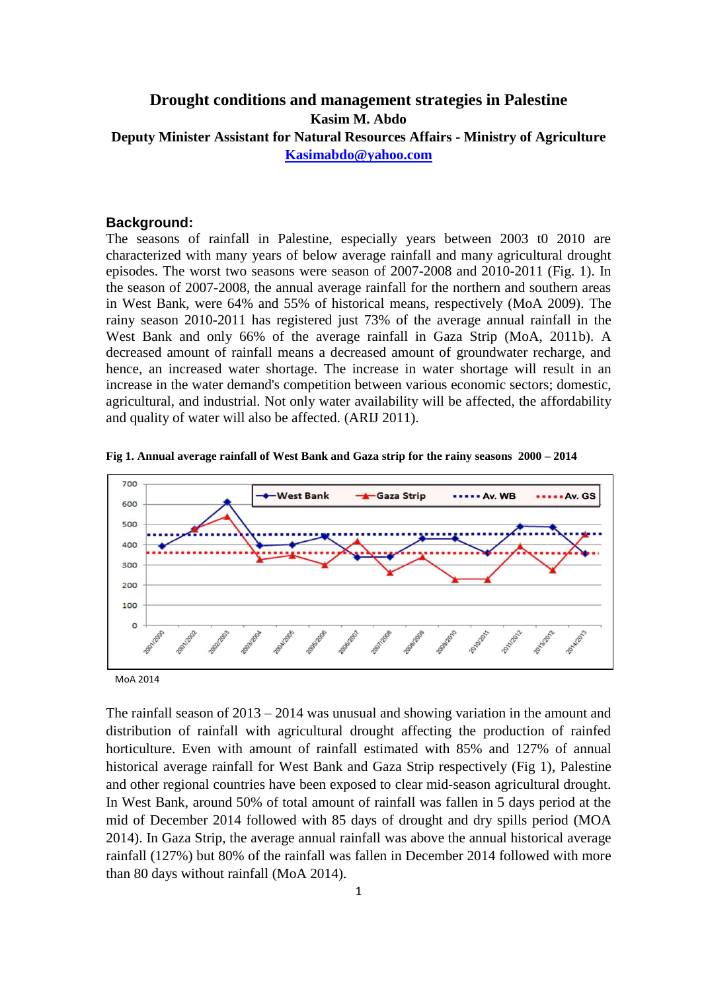# **Drought conditions and management strategies in Palestine Kasim M. Abdo Deputy Minister Assistant for Natural Resources Affairs - Ministry of Agriculture [Kasimabdo@yahoo.com](mailto:Kasimabdo@yahoo.com)**

#### **Background:**

The seasons of rainfall in Palestine, especially years between 2003 t0 2010 are characterized with many years of below average rainfall and many agricultural drought episodes. The worst two seasons were season of 2007-2008 and 2010-2011 (Fig. 1). In the season of 2007-2008, the annual average rainfall for the northern and southern areas in West Bank, were 64% and 55% of historical means, respectively (MoA 2009). The rainy season 2010-2011 has registered just 73% of the average annual rainfall in the West Bank and only 66% of the average rainfall in Gaza Strip (MoA, 2011b). A decreased amount of rainfall means a decreased amount of groundwater recharge, and hence, an increased water shortage. The increase in water shortage will result in an increase in the water demand's competition between various economic sectors; domestic, agricultural, and industrial. Not only water availability will be affected, the affordability and quality of water will also be affected. (ARIJ 2011).



**Fig 1. Annual average rainfall of West Bank and Gaza strip for the rainy seasons 2000 – 2014**

MoA 2014

The rainfall season of  $2013 - 2014$  was unusual and showing variation in the amount and distribution of rainfall with agricultural drought affecting the production of rainfed horticulture. Even with amount of rainfall estimated with 85% and 127% of annual historical average rainfall for West Bank and Gaza Strip respectively (Fig 1), Palestine and other regional countries have been exposed to clear mid-season agricultural drought. In West Bank, around 50% of total amount of rainfall was fallen in 5 days period at the mid of December 2014 followed with 85 days of drought and dry spills period (MOA 2014). In Gaza Strip, the average annual rainfall was above the annual historical average rainfall (127%) but 80% of the rainfall was fallen in December 2014 followed with more than 80 days without rainfall (MoA 2014).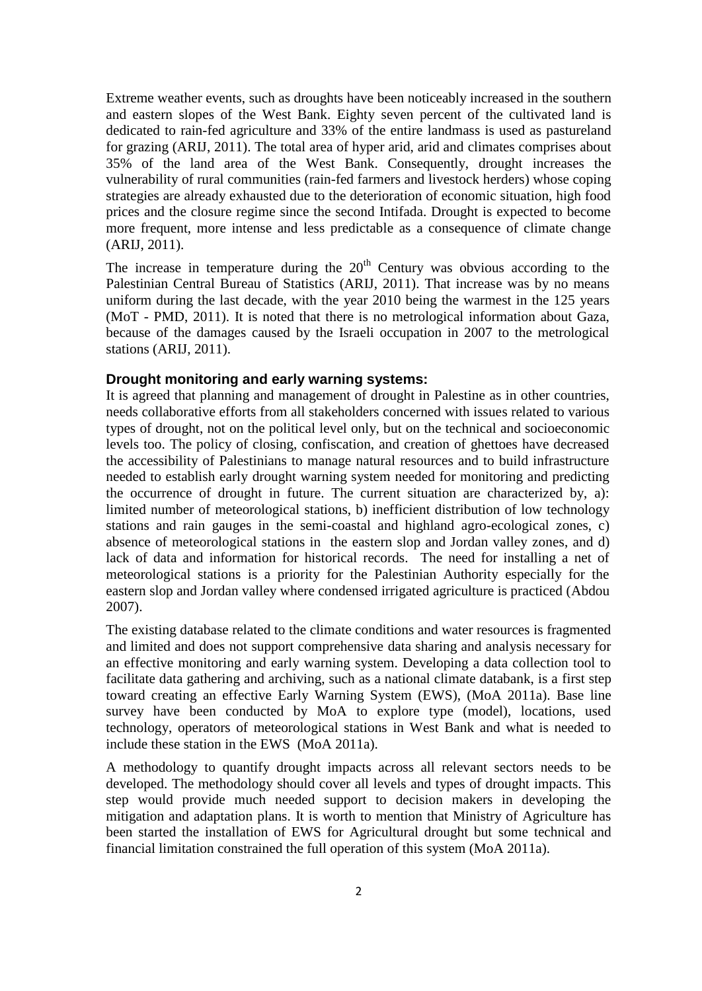Extreme weather events, such as droughts have been noticeably increased in the southern and eastern slopes of the West Bank. Eighty seven percent of the cultivated land is dedicated to rain-fed agriculture and 33% of the entire landmass is used as pastureland for grazing (ARIJ, 2011). The total area of hyper arid, arid and climates comprises about 35% of the land area of the West Bank. Consequently, drought increases the vulnerability of rural communities (rain-fed farmers and livestock herders) whose coping strategies are already exhausted due to the deterioration of economic situation, high food prices and the closure regime since the second Intifada. Drought is expected to become more frequent, more intense and less predictable as a consequence of climate change (ARIJ, 2011).

The increase in temperature during the  $20<sup>th</sup>$  Century was obvious according to the Palestinian Central Bureau of Statistics (ARIJ, 2011). That increase was by no means uniform during the last decade, with the year 2010 being the warmest in the 125 years (MoT - PMD, 2011). It is noted that there is no metrological information about Gaza, because of the damages caused by the Israeli occupation in 2007 to the metrological stations (ARIJ, 2011).

### **Drought monitoring and early warning systems:**

It is agreed that planning and management of drought in Palestine as in other countries, needs collaborative efforts from all stakeholders concerned with issues related to various types of drought, not on the political level only, but on the technical and socioeconomic levels too. The policy of closing, confiscation, and creation of ghettoes have decreased the accessibility of Palestinians to manage natural resources and to build infrastructure needed to establish early drought warning system needed for monitoring and predicting the occurrence of drought in future. The current situation are characterized by, a): limited number of meteorological stations, b) inefficient distribution of low technology stations and rain gauges in the semi-coastal and highland agro-ecological zones, c) absence of meteorological stations in the eastern slop and Jordan valley zones, and d) lack of data and information for historical records. The need for installing a net of meteorological stations is a priority for the Palestinian Authority especially for the eastern slop and Jordan valley where condensed irrigated agriculture is practiced (Abdou 2007).

The existing database related to the climate conditions and water resources is fragmented and limited and does not support comprehensive data sharing and analysis necessary for an effective monitoring and early warning system. Developing a data collection tool to facilitate data gathering and archiving, such as a national climate databank, is a first step toward creating an effective Early Warning System (EWS), (MoA 2011a). Base line survey have been conducted by MoA to explore type (model), locations, used technology, operators of meteorological stations in West Bank and what is needed to include these station in the EWS (MoA 2011a).

A methodology to quantify drought impacts across all relevant sectors needs to be developed. The methodology should cover all levels and types of drought impacts. This step would provide much needed support to decision makers in developing the mitigation and adaptation plans. It is worth to mention that Ministry of Agriculture has been started the installation of EWS for Agricultural drought but some technical and financial limitation constrained the full operation of this system (MoA 2011a).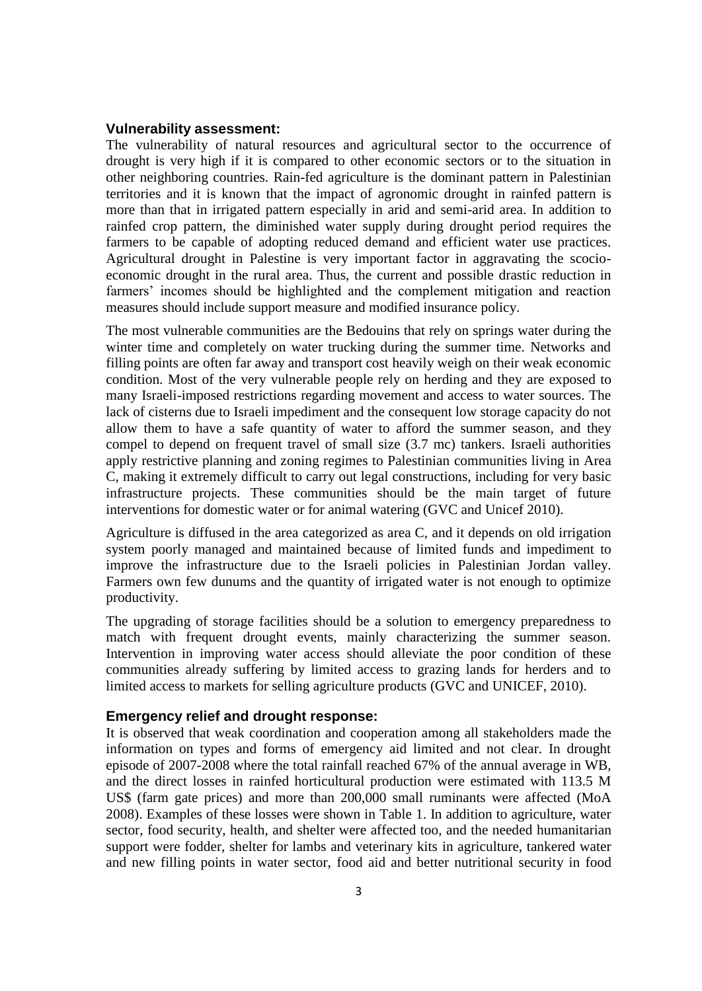#### **Vulnerability assessment:**

The vulnerability of natural resources and agricultural sector to the occurrence of drought is very high if it is compared to other economic sectors or to the situation in other neighboring countries. Rain-fed agriculture is the dominant pattern in Palestinian territories and it is known that the impact of agronomic drought in rainfed pattern is more than that in irrigated pattern especially in arid and semi-arid area. In addition to rainfed crop pattern, the diminished water supply during drought period requires the farmers to be capable of adopting reduced demand and efficient water use practices. Agricultural drought in Palestine is very important factor in aggravating the scocioeconomic drought in the rural area. Thus, the current and possible drastic reduction in farmers' incomes should be highlighted and the complement mitigation and reaction measures should include support measure and modified insurance policy.

The most vulnerable communities are the Bedouins that rely on springs water during the winter time and completely on water trucking during the summer time. Networks and filling points are often far away and transport cost heavily weigh on their weak economic condition. Most of the very vulnerable people rely on herding and they are exposed to many Israeli-imposed restrictions regarding movement and access to water sources. The lack of cisterns due to Israeli impediment and the consequent low storage capacity do not allow them to have a safe quantity of water to afford the summer season, and they compel to depend on frequent travel of small size (3.7 mc) tankers. Israeli authorities apply restrictive planning and zoning regimes to Palestinian communities living in Area C, making it extremely difficult to carry out legal constructions, including for very basic infrastructure projects. These communities should be the main target of future interventions for domestic water or for animal watering (GVC and Unicef 2010).

Agriculture is diffused in the area categorized as area C, and it depends on old irrigation system poorly managed and maintained because of limited funds and impediment to improve the infrastructure due to the Israeli policies in Palestinian Jordan valley. Farmers own few dunums and the quantity of irrigated water is not enough to optimize productivity.

The upgrading of storage facilities should be a solution to emergency preparedness to match with frequent drought events, mainly characterizing the summer season. Intervention in improving water access should alleviate the poor condition of these communities already suffering by limited access to grazing lands for herders and to limited access to markets for selling agriculture products (GVC and UNICEF, 2010).

#### **Emergency relief and drought response:**

It is observed that weak coordination and cooperation among all stakeholders made the information on types and forms of emergency aid limited and not clear. In drought episode of 2007-2008 where the total rainfall reached 67% of the annual average in WB, and the direct losses in rainfed horticultural production were estimated with 113.5 M US\$ (farm gate prices) and more than 200,000 small ruminants were affected (MoA 2008). Examples of these losses were shown in Table 1. In addition to agriculture, water sector, food security, health, and shelter were affected too, and the needed humanitarian support were fodder, shelter for lambs and veterinary kits in agriculture, tankered water and new filling points in water sector, food aid and better nutritional security in food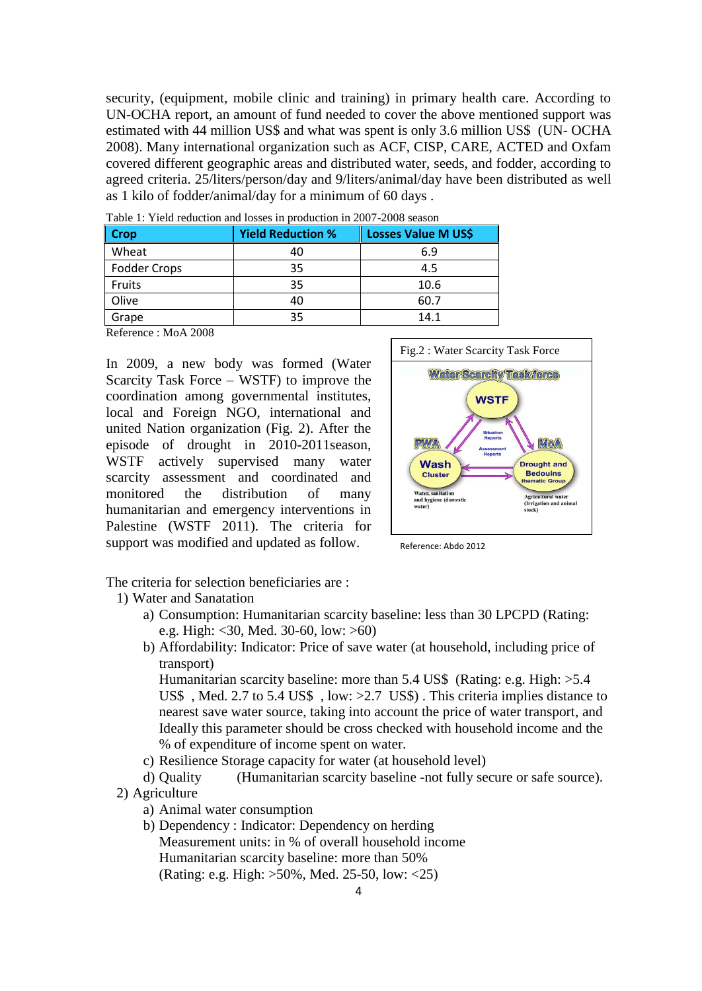security, (equipment, mobile clinic and training) in primary health care. According to UN-OCHA report, an amount of fund needed to cover the above mentioned support was estimated with 44 million US\$ and what was spent is only 3.6 million US\$ (UN- OCHA 2008). Many international organization such as ACF, CISP, CARE, ACTED and Oxfam covered different geographic areas and distributed water, seeds, and fodder, according to agreed criteria. 25/liters/person/day and 9/liters/animal/day have been distributed as well as 1 kilo of fodder/animal/day for a minimum of 60 days .

| <b>Crop</b>  | <b>Yield Reduction %</b> | <b>Losses Value M US\$</b> |
|--------------|--------------------------|----------------------------|
| Wheat        | 40                       | 6.9                        |
| Fodder Crops | 35                       | 4.5                        |
| Fruits       | 35                       | 10.6                       |
| Olive        | 40                       | 60.7                       |
| Grape        | 35                       | 14.1                       |

Table 1: Yield reduction and losses in production in 2007-2008 season

Reference : MoA 2008

In 2009, a new body was formed (Water Scarcity Task Force – WSTF) to improve the coordination among governmental institutes, local and Foreign NGO, international and united Nation organization (Fig. 2). After the episode of drought in 2010-2011season, WSTF actively supervised many water scarcity assessment and coordinated and monitored the distribution of many humanitarian and emergency interventions in Palestine (WSTF 2011). The criteria for support was modified and updated as follow.



Reference: Abdo 2012

The criteria for selection beneficiaries are :

- 1) Water and Sanatation
	- a) Consumption: Humanitarian scarcity baseline: less than 30 LPCPD (Rating: e.g. High: <30, Med. 30-60, low: >60)
	- b) Affordability: Indicator: Price of save water (at household, including price of transport)

Humanitarian scarcity baseline: more than 5.4 US\$ (Rating: e.g. High: >5.4 US\$ , Med. 2.7 to 5.4 US\$ , low: >2.7 US\$) . This criteria implies distance to nearest save water source, taking into account the price of water transport, and Ideally this parameter should be cross checked with household income and the % of expenditure of income spent on water.

c) Resilience Storage capacity for water (at household level)

d) Quality (Humanitarian scarcity baseline -not fully secure or safe source).

- 2) Agriculture
	- a) Animal water consumption
	- b) Dependency : Indicator: Dependency on herding Measurement units: in % of overall household income Humanitarian scarcity baseline: more than 50% (Rating: e.g. High: >50%, Med. 25-50, low: <25)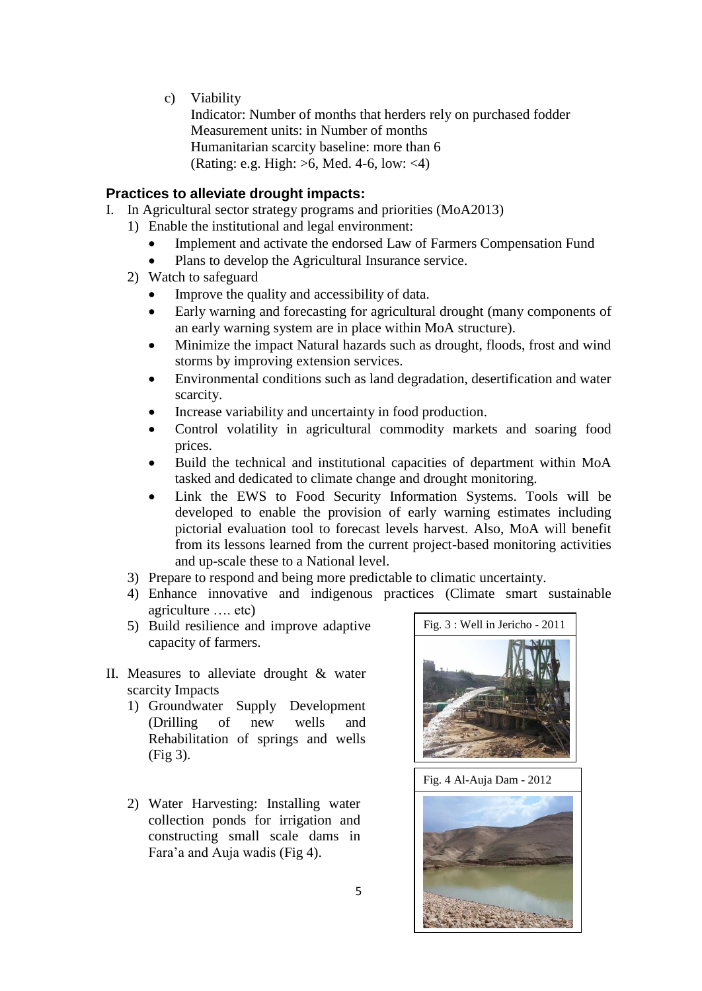c) Viability

Indicator: Number of months that herders rely on purchased fodder Measurement units: in Number of months Humanitarian scarcity baseline: more than 6 (Rating: e.g. High: >6, Med. 4-6, low: <4)

# **Practices to alleviate drought impacts:**

- I. In Agricultural sector strategy programs and priorities (MoA2013)
	- 1) Enable the institutional and legal environment:
		- Implement and activate the endorsed Law of Farmers Compensation Fund
		- Plans to develop the Agricultural Insurance service.
	- 2) Watch to safeguard
		- Improve the quality and accessibility of data.
		- Early warning and forecasting for agricultural drought (many components of an early warning system are in place within MoA structure).
		- Minimize the impact Natural hazards such as drought, floods, frost and wind storms by improving extension services.
		- Environmental conditions such as land degradation, desertification and water scarcity.
		- Increase variability and uncertainty in food production.
		- Control volatility in agricultural commodity markets and soaring food prices.
		- Build the technical and institutional capacities of department within MoA tasked and dedicated to climate change and drought monitoring.
		- Link the EWS to Food Security Information Systems. Tools will be developed to enable the provision of early warning estimates including pictorial evaluation tool to forecast levels harvest. Also, MoA will benefit from its lessons learned from the current project-based monitoring activities and up-scale these to a National level.
	- 3) Prepare to respond and being more predictable to climatic uncertainty.
	- 4) Enhance innovative and indigenous practices (Climate smart sustainable agriculture …. etc)
	- 5) Build resilience and improve adaptive capacity of farmers.
- II. Measures to alleviate drought & water scarcity Impacts
	- 1) Groundwater Supply Development (Drilling of new wells and Rehabilitation of springs and wells (Fig 3).
	- 2) Water Harvesting: Installing water collection ponds for irrigation and constructing small scale dams in Fara'a and Auja wadis (Fig 4).



Fig. 4 Al-Auja Dam - 2012

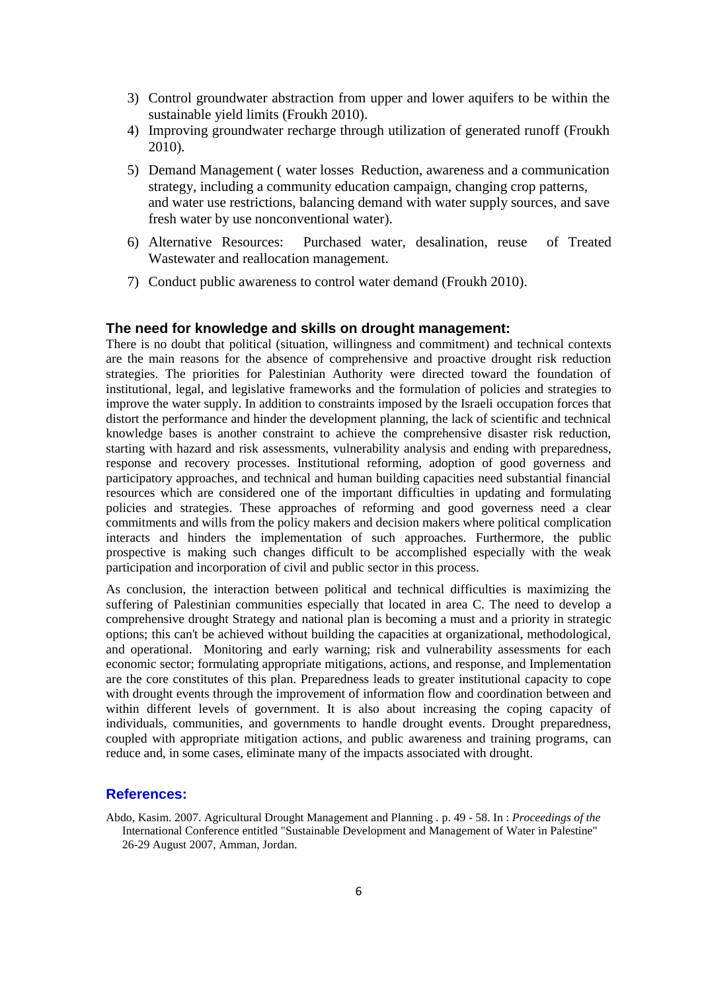- 3) Control groundwater abstraction from upper and lower aquifers to be within the sustainable yield limits (Froukh 2010).
- 4) Improving groundwater recharge through utilization of generated runoff (Froukh 2010).
- 5) Demand Management ( water losses Reduction, awareness and a communication strategy, including a community education campaign, changing crop patterns, and water use restrictions, balancing demand with water supply sources, and save fresh water by use nonconventional water).
- 6) Alternative Resources: Purchased water, desalination, reuse of Treated Wastewater and reallocation management.
- 7) Conduct public awareness to control water demand (Froukh 2010).

## **The need for knowledge and skills on drought management:**

There is no doubt that political (situation, willingness and commitment) and technical contexts are the main reasons for the absence of comprehensive and proactive drought risk reduction strategies. The priorities for Palestinian Authority were directed toward the foundation of institutional, legal, and legislative frameworks and the formulation of policies and strategies to improve the water supply. In addition to constraints imposed by the Israeli occupation forces that distort the performance and hinder the development planning, the lack of scientific and technical knowledge bases is another constraint to achieve the comprehensive disaster risk reduction, starting with hazard and risk assessments, vulnerability analysis and ending with preparedness, response and recovery processes. Institutional reforming, adoption of good governess and participatory approaches, and technical and human building capacities need substantial financial resources which are considered one of the important difficulties in updating and formulating policies and strategies. These approaches of reforming and good governess need a clear commitments and wills from the policy makers and decision makers where political complication interacts and hinders the implementation of such approaches. Furthermore, the public prospective is making such changes difficult to be accomplished especially with the weak participation and incorporation of civil and public sector in this process.

As conclusion, the interaction between political and technical difficulties is maximizing the suffering of Palestinian communities especially that located in area C. The need to develop a comprehensive drought Strategy and national plan is becoming a must and a priority in strategic options; this can't be achieved without building the capacities at organizational, methodological, and operational. Monitoring and early warning; risk and vulnerability assessments for each economic sector; formulating appropriate mitigations, actions, and response, and Implementation are the core constitutes of this plan. Preparedness leads to greater institutional capacity to cope with drought events through the improvement of information flow and coordination between and within different levels of government. It is also about increasing the coping capacity of individuals, communities, and governments to handle drought events. Drought preparedness, coupled with appropriate mitigation actions, and public awareness and training programs, can reduce and, in some cases, eliminate many of the impacts associated with drought.

#### **References:**

Abdo, Kasim. 2007. Agricultural Drought Management and Planning . p. 49 - 58. In : *Proceedings of the*  International Conference entitled "Sustainable Development and Management of Water in Palestine" 26-29 August 2007, Amman, Jordan.